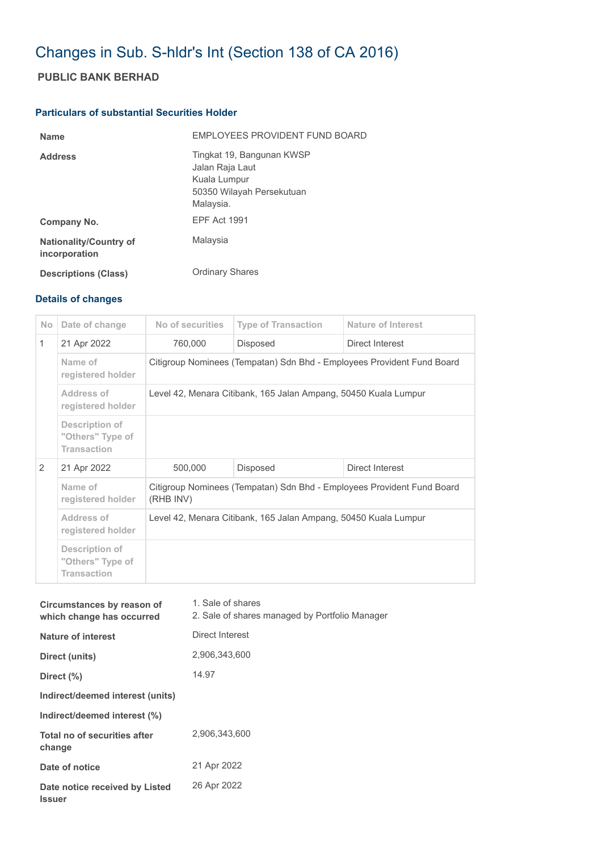## Changes in Sub. S-hldr's Int (Section 138 of CA 2016)

## **PUBLIC BANK BERHAD**

## **Particulars of substantial Securities Holder**

| <b>Name</b>                                    | EMPLOYEES PROVIDENT FUND BOARD                                                                         |
|------------------------------------------------|--------------------------------------------------------------------------------------------------------|
| <b>Address</b>                                 | Tingkat 19, Bangunan KWSP<br>Jalan Raja Laut<br>Kuala Lumpur<br>50350 Wilayah Persekutuan<br>Malaysia. |
| Company No.                                    | <b>EPF Act 1991</b>                                                                                    |
| <b>Nationality/Country of</b><br>incorporation | Malaysia                                                                                               |
| <b>Descriptions (Class)</b>                    | <b>Ordinary Shares</b>                                                                                 |

## **Details of changes**

| N <sub>o</sub> | Date of change                                                  | No of securities                                                                    | <b>Type of Transaction</b> | <b>Nature of Interest</b> |  |
|----------------|-----------------------------------------------------------------|-------------------------------------------------------------------------------------|----------------------------|---------------------------|--|
| $\mathbf{1}$   | 21 Apr 2022                                                     | 760,000                                                                             | <b>Disposed</b>            | Direct Interest           |  |
|                | Name of<br>registered holder                                    | Citigroup Nominees (Tempatan) Sdn Bhd - Employees Provident Fund Board              |                            |                           |  |
|                | Address of<br>registered holder                                 | Level 42, Menara Citibank, 165 Jalan Ampang, 50450 Kuala Lumpur                     |                            |                           |  |
|                | <b>Description of</b><br>"Others" Type of<br><b>Transaction</b> |                                                                                     |                            |                           |  |
| 2              | 21 Apr 2022                                                     | 500,000                                                                             | <b>Disposed</b>            | Direct Interest           |  |
|                | Name of<br>registered holder                                    | Citigroup Nominees (Tempatan) Sdn Bhd - Employees Provident Fund Board<br>(RHB INV) |                            |                           |  |
|                | Address of<br>registered holder                                 | Level 42, Menara Citibank, 165 Jalan Ampang, 50450 Kuala Lumpur                     |                            |                           |  |
|                | <b>Description of</b><br>"Others" Type of<br><b>Transaction</b> |                                                                                     |                            |                           |  |

| Circumstances by reason of<br>which change has occurred | 1. Sale of shares<br>2. Sale of shares managed by Portfolio Manager |
|---------------------------------------------------------|---------------------------------------------------------------------|
| Nature of interest                                      | Direct Interest                                                     |
| Direct (units)                                          | 2,906,343,600                                                       |
| Direct (%)                                              | 14.97                                                               |
| Indirect/deemed interest (units)                        |                                                                     |
| Indirect/deemed interest (%)                            |                                                                     |
| Total no of securities after<br>change                  | 2.906.343.600                                                       |
| Date of notice                                          | 21 Apr 2022                                                         |
| Date notice received by Listed<br><b>Issuer</b>         | 26 Apr 2022                                                         |